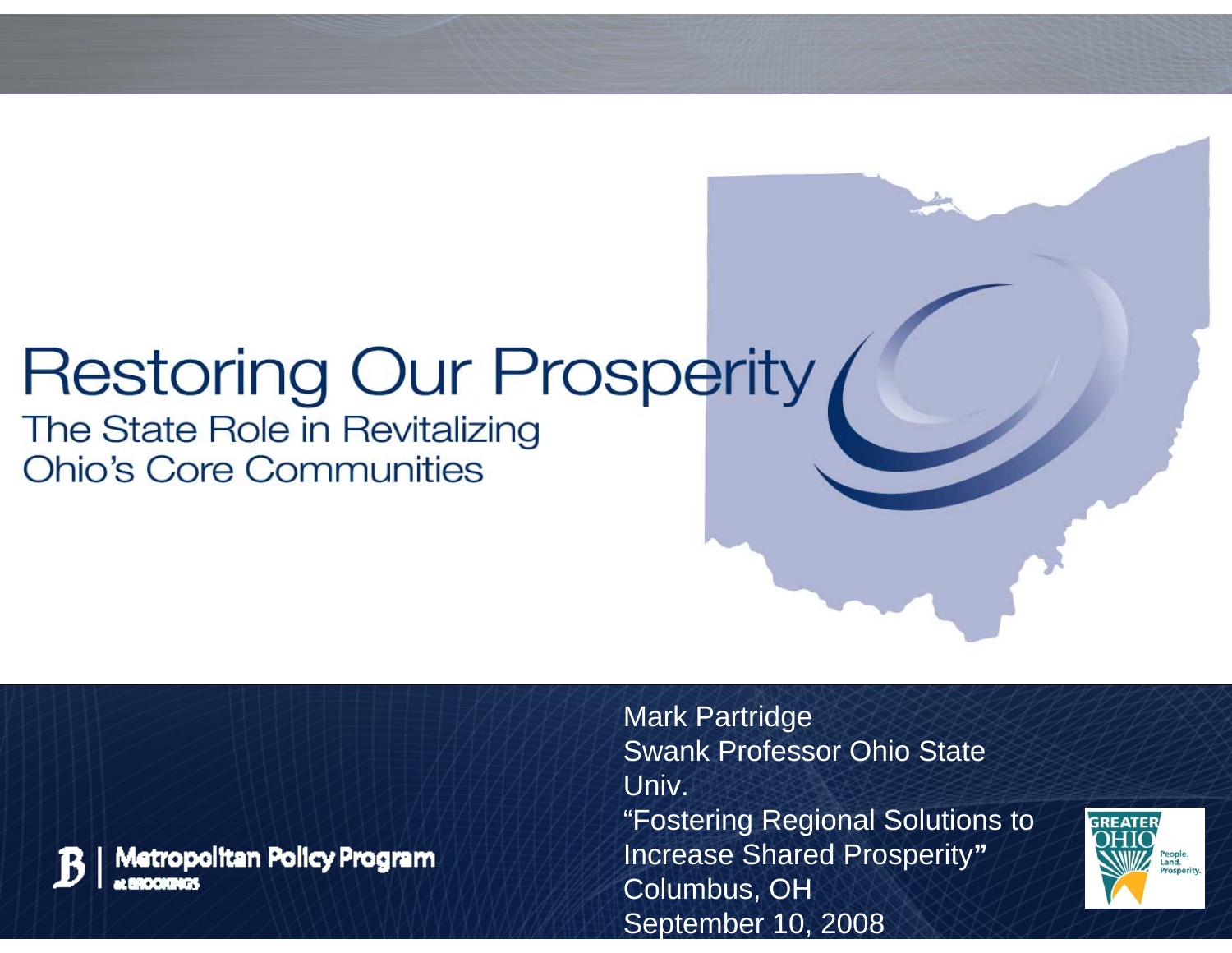# **Restoring Our Prosperity**

The State Role in Revitalizing **Ohio's Core Communities** 



Metropolitan Policy Program

Mark Partridge Swank Professor Ohio State Univ. "Fostering Regional Solutions to Increase Shared Prosperity **"**Columbus, OH Se ptember 10, 2008

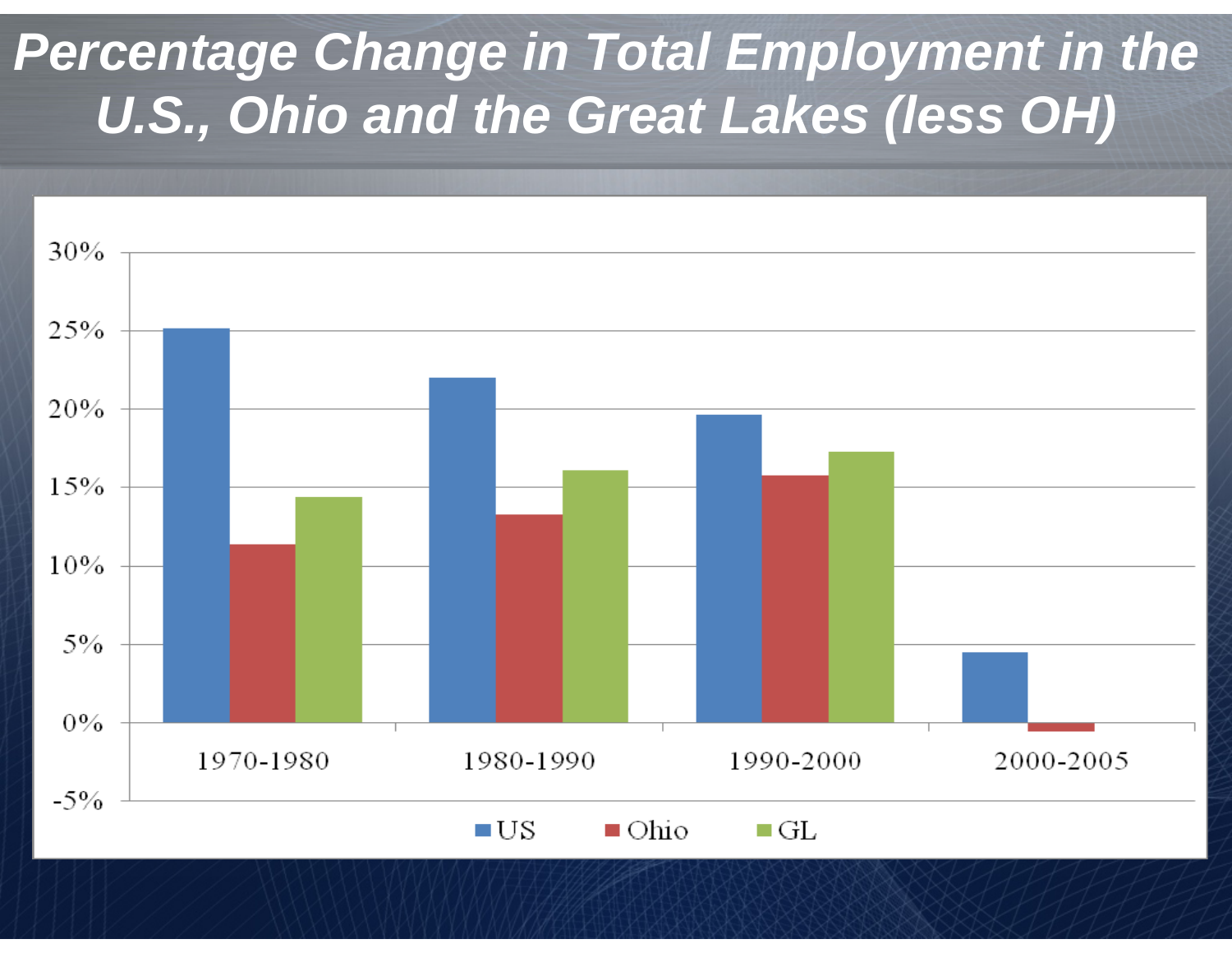#### *Percentage Change in Total Employment in the U.S., Ohio and the Great Lakes (less OH)*



 $\blacksquare$  Ohio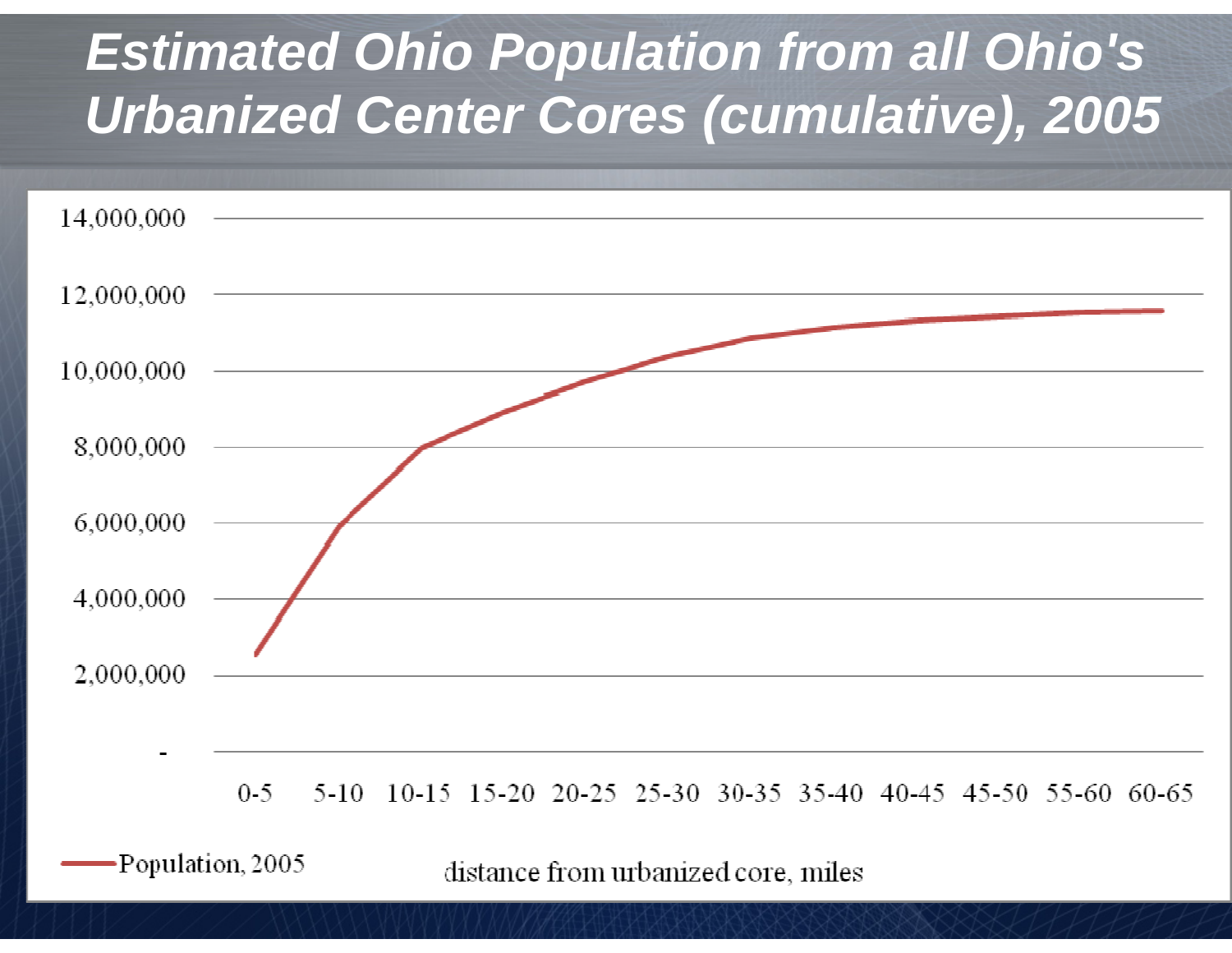#### *Estimated Ohio Population from all Ohio's Urbanized Center Cores (cumulative), 2005*



distance from urbanized core, miles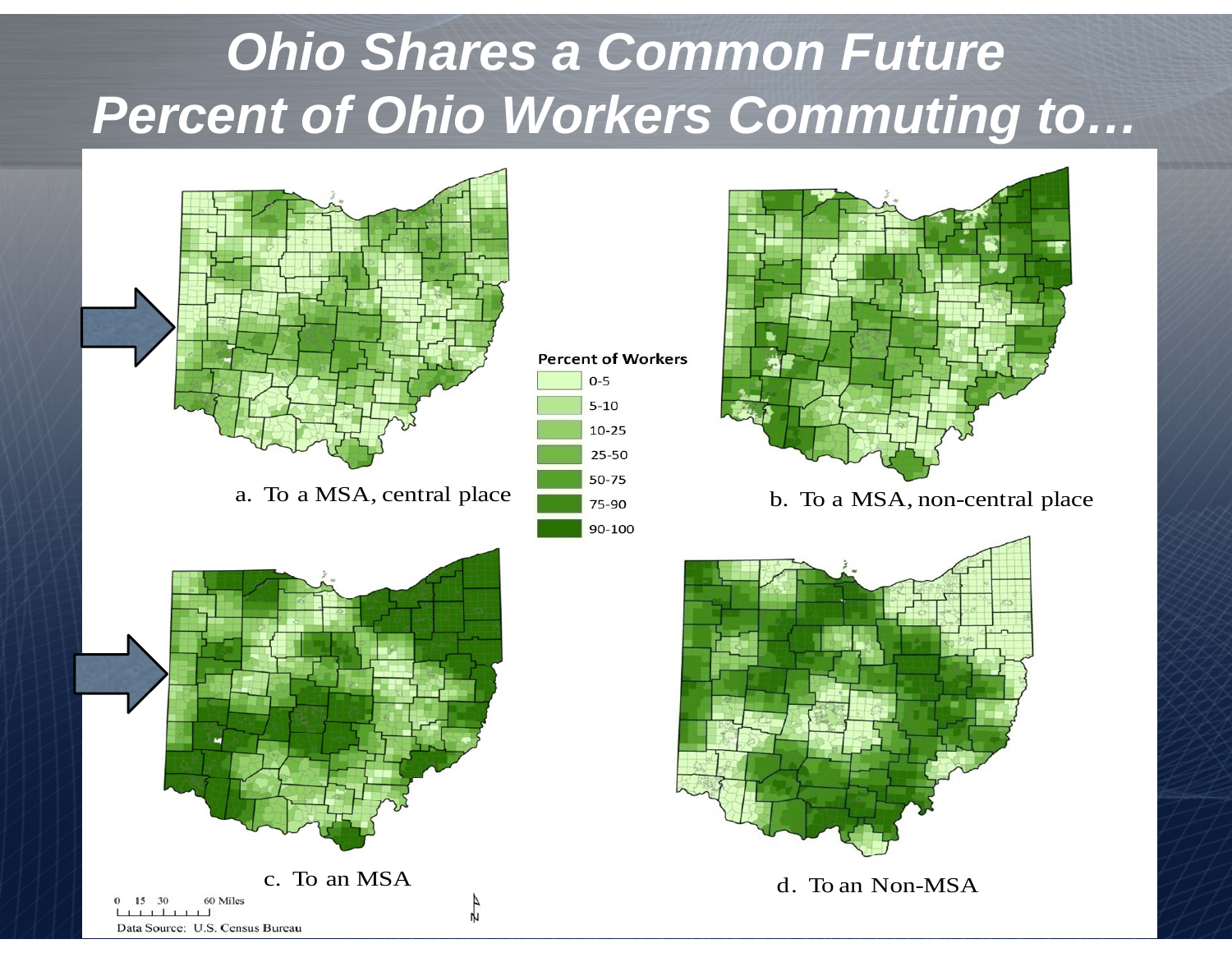#### *Ohio Shares a Common Future Percent of Ohio Workers Commuting to…*









d. To an Non-MSA

Data Source: U.S. Census Bureau

 $15$  $30^{\circ}$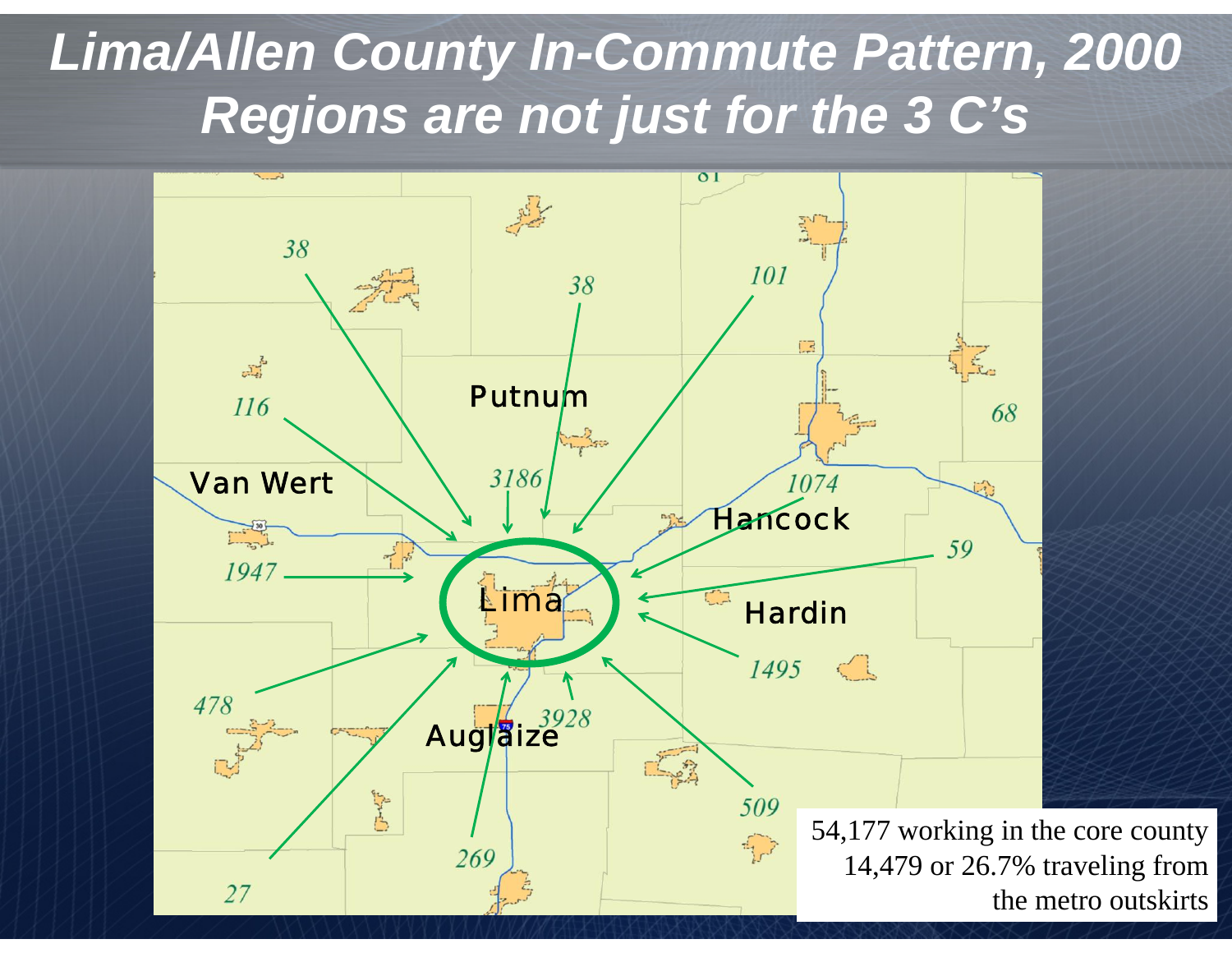#### *Lima/Allen County In-Commute Pattern, 2000 Regions are not just for the 3 C's*

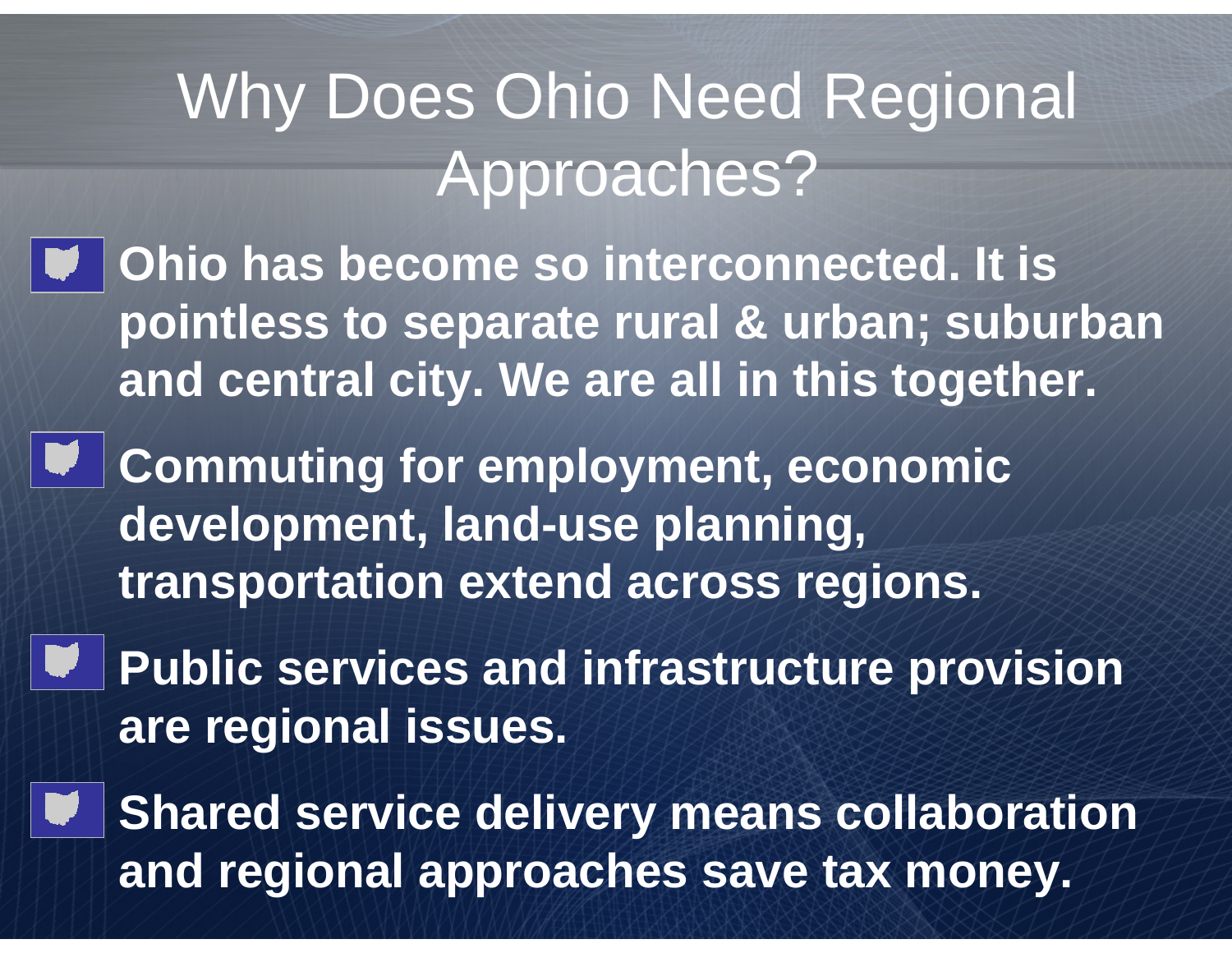# Why Does Ohio Need Regional Approaches?

- • **Ohio has become so interconnected. It is pointless to separate rural & urban; suburban and central city. We are all in this together.**
- • **Commuting for employment, economic development, land-use planning, transportation extend across regions.**

•

- • **Public services and infrastructure provision are regional issues.**
	- **Shared service delivery means collaboration and regional approaches save tax money.**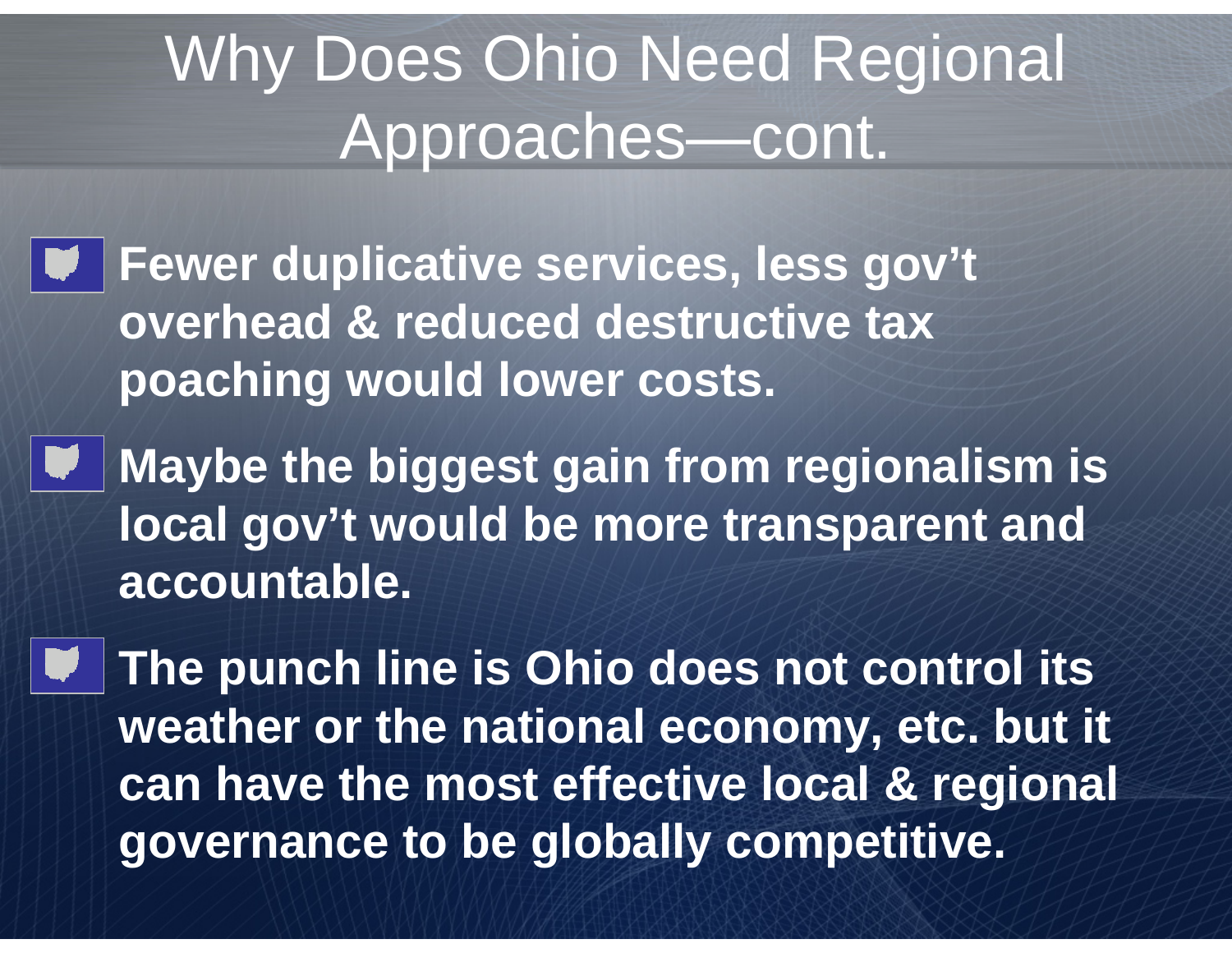### Why Does Ohio Need Regional Approaches—cont.

• **Fewer duplicative services, less gov't overhead & reduced destructive tax poaching would lower costs.**

•

• **Maybe the biggest gain from regionalism is local gov't would be more transparent and accountable.**

 **The punch line is Ohio does not control its weather or the national economy, etc. but it can have the most effective local & regional governance to be globally competitive.**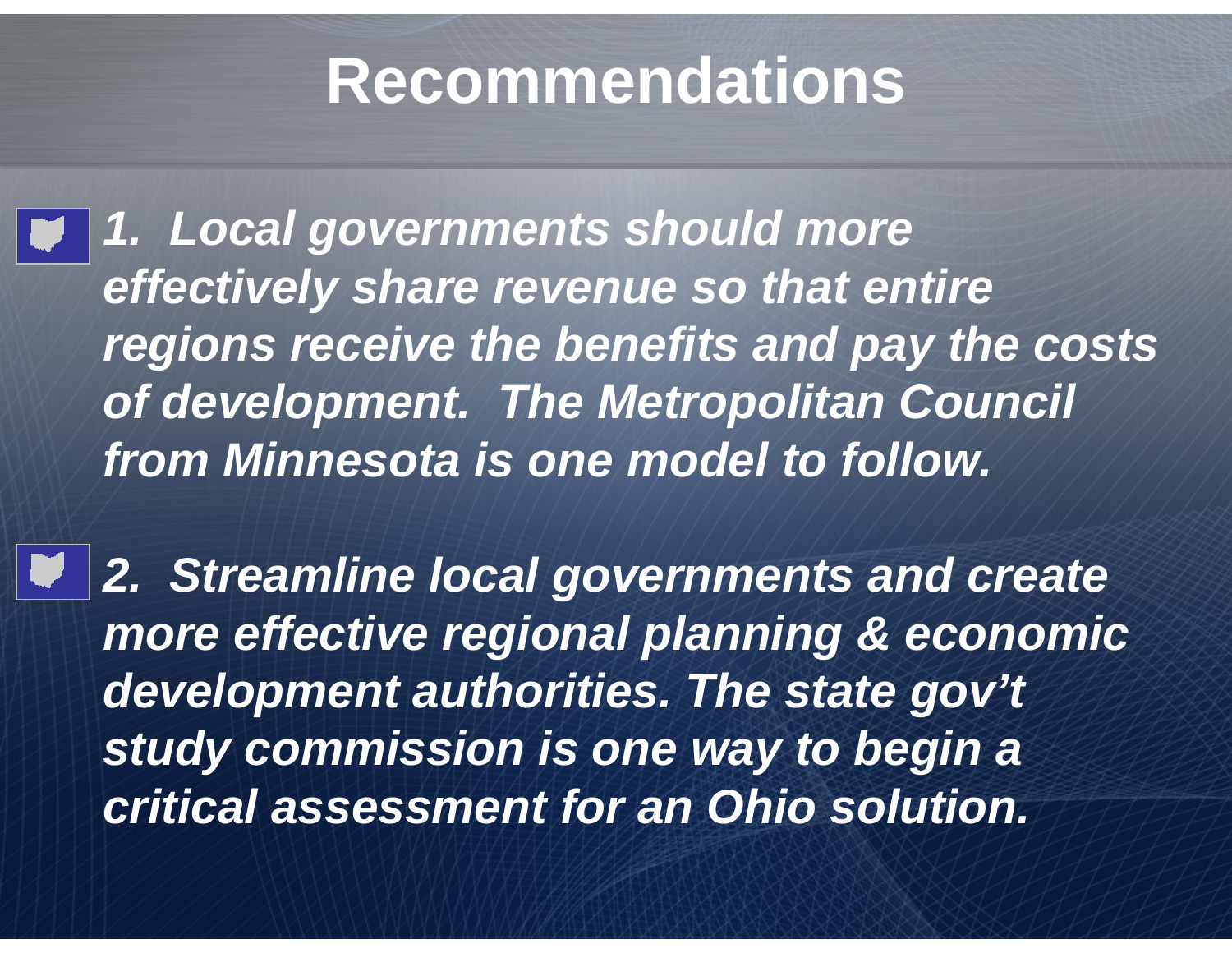#### **Recommendations**

• *1. Local governments should more effectively share revenue so that entire regions receive the benefits and pay the costs of development. The Metropolitan Council from Minnesota is one model to follow.* 

 *2. Streamline local governments and create more effective regional planning & economic development authorities. The state gov't study commission is one way to begin a critical assessment for an Ohio solution.*